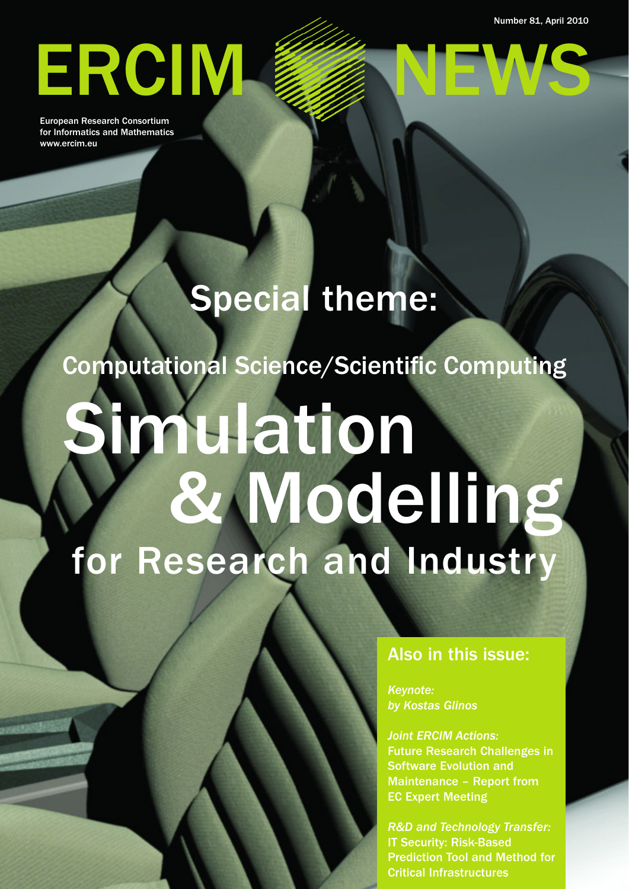Number 81, April 2010

# ERCIM

European Research Consortium for Informatics and Mathematics www.ercim.eu

## Special theme:

Computational Science/Scientific Computing

# Simulation & Modelling for Research and Industry

Also in this issue:

*Keynote: by Kostas Glinos*

*Joint ERCIM Actions:* Future Research Challenges in Software Evolution and Maintenance – Report from EC Expert Meeting

*R&D and Technology Transfer:* IT Security: Risk-Based Prediction Tool and Method for Critical Infrastructures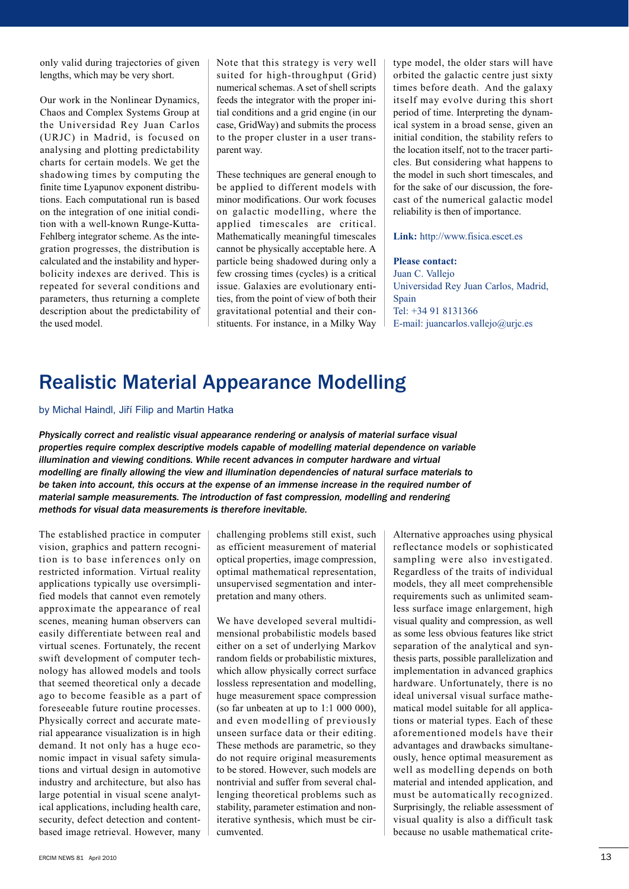only valid during trajectories of given lengths, which may be very short.

Our work in the Nonlinear Dynamics, Chaos and Complex Systems Group at the Universidad Rey Juan Carlos (URJC) in Madrid, is focused on analysing and plotting predictability charts for certain models. We get the shadowing times by computing the finite time Lyapunov exponent distributions. Each computational run is based on the integration of one initial condition with a well-known Runge-Kutta-Fehlberg integrator scheme. As the integration progresses, the distribution is calculated and the instability and hyperbolicity indexes are derived. This is repeated for several conditions and parameters, thus returning a complete description about the predictability of the used model.

Note that this strategy is very well suited for high-throughput (Grid) numerical schemas. A set of shell scripts feeds the integrator with the proper initial conditions and a grid engine (in our case, GridWay) and submits the process to the proper cluster in a user transparent way.

These techniques are general enough to be applied to different models with minor modifications. Our work focuses on galactic modelling, where the applied timescales are critical. Mathematically meaningful timescales cannot be physically acceptable here. A particle being shadowed during only a few crossing times (cycles) is a critical issue. Galaxies are evolutionary entities, from the point of view of both their gravitational potential and their constituents. For instance, in a Milky Way type model, the older stars will have orbited the galactic centre just sixty times before death. And the galaxy itself may evolve during this short period of time. Interpreting the dynamical system in a broad sense, given an initial condition, the stability refers to the location itself, not to the tracer particles. But considering what happens to the model in such short timescales, and for the sake of our discussion, the forecast of the numerical galactic model reliability is then of importance.

#### **Link:** http://www.fisica.escet.es

**Please contact:**

Juan C. Vallejo Universidad Rey Juan Carlos, Madrid, Spain Tel: +34 91 8131366 E-mail: juancarlos.vallejo@urjc.es

### Realistic Material Appearance Modelling

by Michal Haindl, Jiří Filip and Martin Hatka

*Physically correct and realistic visual appearance rendering or analysis of material surface visual properties require complex descriptive models capable of modelling material dependence on variable illumination and viewing conditions. While recent advances in computer hardware and virtual modelling are finally allowing the view and illumination dependencies of natural surface materials to be taken into account, this occurs at the expense of an immense increase in the required number of material sample measurements. The introduction of fast compression, modelling and rendering methods for visual data measurements is therefore inevitable.*

The established practice in computer vision, graphics and pattern recognition is to base inferences only on restricted information. Virtual reality applications typically use oversimplified models that cannot even remotely approximate the appearance of real scenes, meaning human observers can easily differentiate between real and virtual scenes. Fortunately, the recent swift development of computer technology has allowed models and tools that seemed theoretical only a decade ago to become feasible as a part of foreseeable future routine processes. Physically correct and accurate material appearance visualization is in high demand. It not only has a huge economic impact in visual safety simulations and virtual design in automotive industry and architecture, but also has large potential in visual scene analytical applications, including health care, security, defect detection and contentbased image retrieval. However, many challenging problems still exist, such as efficient measurement of material optical properties, image compression, optimal mathematical representation, unsupervised segmentation and interpretation and many others.

We have developed several multidimensional probabilistic models based either on a set of underlying Markov random fields or probabilistic mixtures, which allow physically correct surface lossless representation and modelling, huge measurement space compression (so far unbeaten at up to  $1:1\ 000\ 000$ ), and even modelling of previously unseen surface data or their editing. These methods are parametric, so they do not require original measurements to be stored. However, such models are nontrivial and suffer from several challenging theoretical problems such as stability, parameter estimation and noniterative synthesis, which must be circumvented.

Alternative approaches using physical reflectance models or sophisticated sampling were also investigated. Regardless of the traits of individual models, they all meet comprehensible requirements such as unlimited seamless surface image enlargement, high visual quality and compression, as well as some less obvious features like strict separation of the analytical and synthesis parts, possible parallelization and implementation in advanced graphics hardware. Unfortunately, there is no ideal universal visual surface mathematical model suitable for all applications or material types. Each of these aforementioned models have their advantages and drawbacks simultaneously, hence optimal measurement as well as modelling depends on both material and intended application, and must be automatically recognized. Surprisingly, the reliable assessment of visual quality is also a difficult task because no usable mathematical crite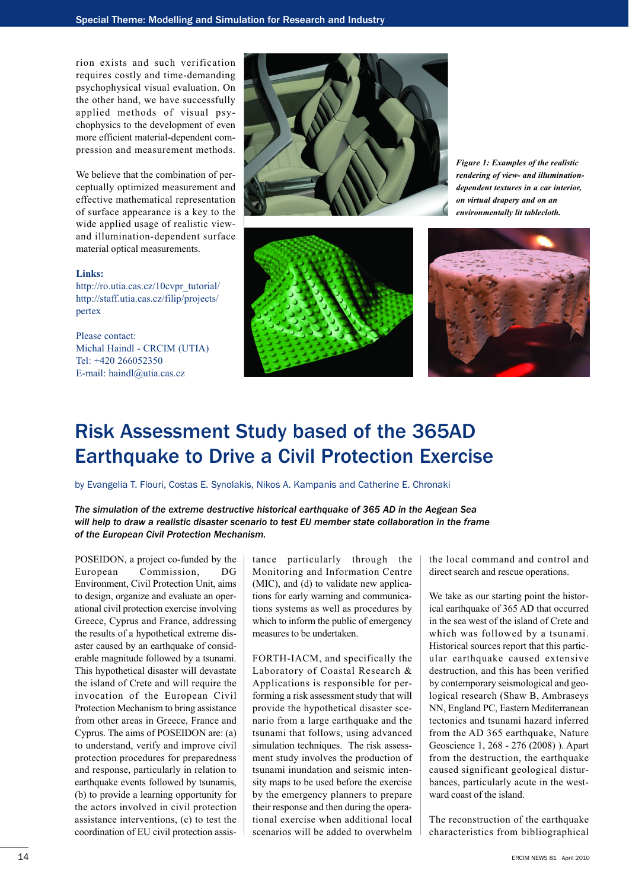rion exists and such verification requires costly and time-demanding psychophysical visual evaluation. On the other hand, we have successfully applied methods of visual psychophysics to the development of even more efficient material-dependent compression and measurement methods.

We believe that the combination of perceptually optimized measurement and effective mathematical representation of surface appearance is a key to the wide applied usage of realistic viewand illumination-dependent surface material optical measurements.

#### **Links:**

http://ro.utia.cas.cz/10cvpr\_tutorial/ [http://staff.utia.cas.cz/filip/projects/](http://staff.utia.cas.cz/filip/projects/pertex) pertex

Please contact: Michal Haindl - CRCIM (UTIA) Tel: +420 266052350 E-mail: haindl@utia.cas.cz





*Figure 1: Examples of the realistic rendering of view- and illuminationdependent textures in a car interior, on virtual drapery and on an environmentally lit tablecloth.*



### Risk Assessment Study based of the 365AD Earthquake to Drive a Civil Protection Exercise

by Evangelia T. Flouri, Costas E. Synolakis, Nikos A. Kampanis and Catherine E. Chronaki

*The simulation of the extreme destructive historical earthquake of 365 AD in the Aegean Sea will help to draw a realistic disaster scenario to test EU member state collaboration in the frame of the European Civil Protection Mechanism.* 

POSEIDON, a project co-funded by the European Commission, DG Environment, Civil Protection Unit, aims to design, organize and evaluate an operational civil protection exercise involving Greece, Cyprus and France, addressing the results of a hypothetical extreme disaster caused by an earthquake of considerable magnitude followed by a tsunami. This hypothetical disaster will devastate the island of Crete and will require the invocation of the European Civil Protection Mechanism to bring assistance from other areas in Greece, France and Cyprus. The aims of POSEIDON are: (a) to understand, verify and improve civil protection procedures for preparedness and response, particularly in relation to earthquake events followed by tsunamis, (b) to provide a learning opportunity for the actors involved in civil protection assistance interventions, (c) to test the coordination of EU civil protection assistance particularly through the Monitoring and Information Centre (MIC), and (d) to validate new applications for early warning and communications systems as well as procedures by which to inform the public of emergency measures to be undertaken.

FORTH-IACM, and specifically the Laboratory of Coastal Research & Applications is responsible for performing a risk assessment study that will provide the hypothetical disaster scenario from a large earthquake and the tsunami that follows, using advanced simulation techniques. The risk assessment study involves the production of tsunami inundation and seismic intensity maps to be used before the exercise by the emergency planners to prepare their response and then during the operational exercise when additional local scenarios will be added to overwhelm

the local command and control and direct search and rescue operations.

We take as our starting point the historical earthquake of 365 AD that occurred in the sea west of the island of Crete and which was followed by a tsunami. Historical sources report that this particular earthquake caused extensive destruction, and this has been verified by contemporary seismological and geological research (Shaw B, Ambraseys NN, England PC, Eastern Mediterranean tectonics and tsunami hazard inferred from the AD 365 earthquake, Nature Geoscience 1, 268 - 276 (2008) ). Apart from the destruction, the earthquake caused significant geological disturbances, particularly acute in the westward coast of the island.

The reconstruction of the earthquake characteristics from bibliographical